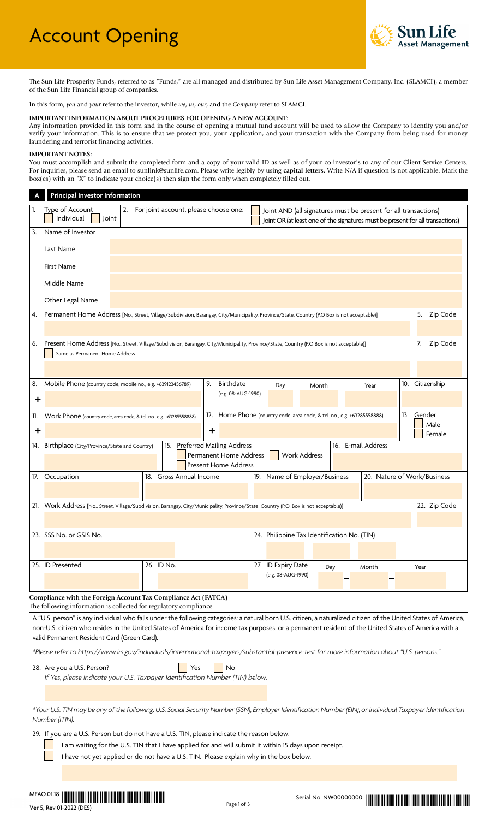

The Sun Life Prosperity Funds, referred to as "Funds," are all managed and distributed by Sun Life Asset Management Company, Inc. (SLAMCI), a member of the Sun Life Financial group of companies.

In this form, *you* and *your* refer to the investor, while *we*, *us*, *our*, and the *Company* refer to SLAMCI.

#### **IMPORTANT INFORMATION ABOUT PROCEDURES FOR OPENING A NEW ACCOUNT:**

Any information provided in this form and in the course of opening a mutual fund account will be used to allow the Company to identify you and/or verify your information. This is to ensure that we protect you, your application, and your transaction with the Company from being used for money laundering and terrorist financing activities.

### **IMPORTANT NOTES:**

You must accomplish and submit the completed form and a copy of your valid ID as well as of your co-investor's to any of our Client Service Centers. For inquiries, please send an email to sunlink@sunlife.com. Please write legibly by using **capital letters.** Write N/A if question is not applicable. Mark the box(es) with an "X" to indicate your choice(s) then sign the form only when completely filled out.

|     | <b>Principal Investor Information</b>                               |                                          |                                                       |                                                                                                                                                   |                 |
|-----|---------------------------------------------------------------------|------------------------------------------|-------------------------------------------------------|---------------------------------------------------------------------------------------------------------------------------------------------------|-----------------|
| 1.  | Type of Account<br>Individual<br>Joint                              | 2. For joint account, please choose one: |                                                       | Joint AND (all signatures must be present for all transactions)<br>Joint OR (at least one of the signatures must be present for all transactions) |                 |
| 3.  | Name of Investor                                                    |                                          |                                                       |                                                                                                                                                   |                 |
|     | Last Name                                                           |                                          |                                                       |                                                                                                                                                   |                 |
|     | <b>First Name</b>                                                   |                                          |                                                       |                                                                                                                                                   |                 |
|     | Middle Name                                                         |                                          |                                                       |                                                                                                                                                   |                 |
|     | Other Legal Name                                                    |                                          |                                                       |                                                                                                                                                   |                 |
| 4.  |                                                                     |                                          |                                                       | Permanent Home Address [No., Street, Village/Subdivision, Barangay, City/Municipality, Province/State, Country (P.O Box is not acceptable)]       | 5. Zip Code     |
|     |                                                                     |                                          |                                                       |                                                                                                                                                   |                 |
| 6.  |                                                                     |                                          |                                                       | Present Home Address [No., Street, Village/Subdivision, Barangay, City/Municipality, Province/State, Country (P.O Box is not acceptable)]         | Zip Code<br>7.  |
|     | Same as Permanent Home Address                                      |                                          |                                                       |                                                                                                                                                   |                 |
|     |                                                                     |                                          |                                                       |                                                                                                                                                   |                 |
| 8.  | Mobile Phone (country code, mobile no., e.g. +639123456789)         |                                          | Birthdate<br>9.                                       | Month<br>Year<br>Day                                                                                                                              | 10. Citizenship |
| ÷   |                                                                     |                                          | (e.g. 08-AUG-1990)                                    |                                                                                                                                                   |                 |
| 11. | Work Phone (country code, area code, & tel. no., e.g. +63285558888) |                                          |                                                       | 12. Home Phone (country code, area code, & tel. no., e.g. +63285558888)                                                                           | 13. Gender      |
| ÷   |                                                                     |                                          | ÷.                                                    |                                                                                                                                                   | Male<br>Female  |
|     | 14. Birthplace (City/Province/State and Country)                    |                                          | 15. Preferred Mailing Address                         | 16. E-mail Address                                                                                                                                |                 |
|     |                                                                     |                                          | Permanent Home Address<br><b>Present Home Address</b> | <b>Work Address</b>                                                                                                                               |                 |
|     | 17. Occupation                                                      | 18. Gross Annual Income                  |                                                       | 19. Name of Employer/Business<br>20. Nature of Work/Business                                                                                      |                 |
|     |                                                                     |                                          |                                                       |                                                                                                                                                   |                 |
|     |                                                                     |                                          |                                                       | 21. Work Address [No., Street, Village/Subdivision, Barangay, City/Municipality, Province/State, Country (P.O. Box is not acceptable)]            | 22. Zip Code    |
|     |                                                                     |                                          |                                                       |                                                                                                                                                   |                 |
|     | 23. SSS No. or GSIS No.                                             |                                          |                                                       | 24. Philippine Tax Identification No. (TIN)                                                                                                       |                 |
|     |                                                                     |                                          |                                                       |                                                                                                                                                   |                 |
|     | 25. ID Presented                                                    | 26. ID No.                               |                                                       | 27. ID Expiry Date<br>Day<br>Month                                                                                                                | Year            |
|     |                                                                     |                                          |                                                       | (e.g. 08-AUG-1990)                                                                                                                                |                 |
|     |                                                                     |                                          |                                                       |                                                                                                                                                   |                 |

**Compliance with the Foreign Account Tax Compliance Act (FATCA)**  The following information is collected for regulatory compliance.

A "U.S. person" is any individual who falls under the following categories: a natural born U.S. citizen, a naturalized citizen of the United States of America, non-U.S. citizen who resides in the United States of America for income tax purposes, or a permanent resident of the United States of America with a valid Permanent Resident Card (Green Card).

*\*Please refer to https://www.irs.gov/individuals/international-taxpayers/substantial-presence-test for more information about "U.S. persons."*

28. Are you a U.S. Person? Yes No *If Yes, please indicate your U.S. Taxpayer Identification Number (TIN) below.*

*\*Your U.S. TIN may be any of the following: U.S. Social Security Number (SSN), Employer Identification Number (EIN), or Individual Taxpayer Identification Number (ITIN).*

29. If you are a U.S. Person but do not have a U.S. TIN, please indicate the reason below:

I am waiting for the U.S. TIN that I have applied for and will submit it within 15 days upon receipt.

I have not yet applied or do not have a U.S. TIN. Please explain why in the box below.

Serial No. NW00000000 \*NW00000000\* MFAO.01.18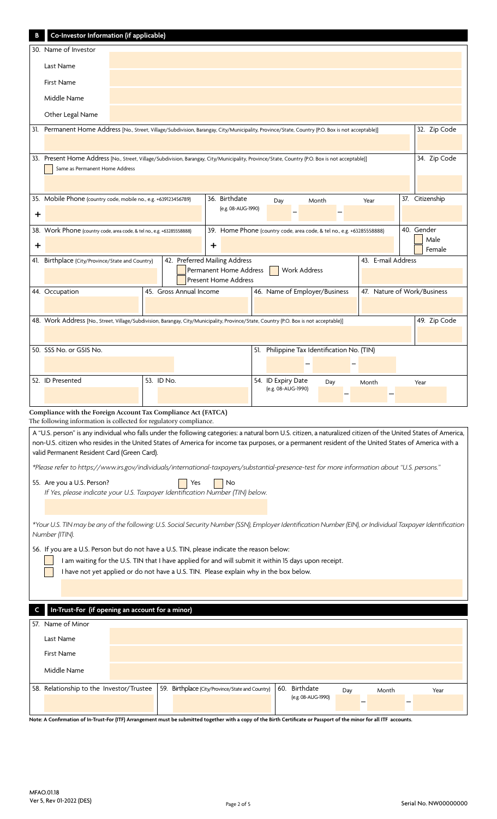|                                                                                                                                                | Co-Investor Information (if applicable)                                                                                                                                                                                              |  |            |                                                  |   |                             |  |                                                                        |       |                    |  |                             |
|------------------------------------------------------------------------------------------------------------------------------------------------|--------------------------------------------------------------------------------------------------------------------------------------------------------------------------------------------------------------------------------------|--|------------|--------------------------------------------------|---|-----------------------------|--|------------------------------------------------------------------------|-------|--------------------|--|-----------------------------|
|                                                                                                                                                | 30. Name of Investor                                                                                                                                                                                                                 |  |            |                                                  |   |                             |  |                                                                        |       |                    |  |                             |
|                                                                                                                                                | Last Name                                                                                                                                                                                                                            |  |            |                                                  |   |                             |  |                                                                        |       |                    |  |                             |
|                                                                                                                                                | <b>First Name</b>                                                                                                                                                                                                                    |  |            |                                                  |   |                             |  |                                                                        |       |                    |  |                             |
|                                                                                                                                                | Middle Name                                                                                                                                                                                                                          |  |            |                                                  |   |                             |  |                                                                        |       |                    |  |                             |
|                                                                                                                                                | Other Legal Name                                                                                                                                                                                                                     |  |            |                                                  |   |                             |  |                                                                        |       |                    |  |                             |
|                                                                                                                                                | 32. Zip Code<br>31. Permanent Home Address [No., Street, Village/Subdivision, Barangay, City/Municipality, Province/State, Country (P.O. Box is not acceptable)]                                                                     |  |            |                                                  |   |                             |  |                                                                        |       |                    |  |                             |
|                                                                                                                                                |                                                                                                                                                                                                                                      |  |            |                                                  |   |                             |  |                                                                        |       |                    |  |                             |
| 33. Present Home Address [No., Street, Village/Subdivision, Barangay, City/Municipality, Province/State, Country (P.O. Box is not acceptable)] |                                                                                                                                                                                                                                      |  |            |                                                  |   |                             |  |                                                                        |       | 34. Zip Code       |  |                             |
|                                                                                                                                                | Same as Permanent Home Address                                                                                                                                                                                                       |  |            |                                                  |   |                             |  |                                                                        |       |                    |  |                             |
|                                                                                                                                                | 35. Mobile Phone (country code, mobile no., e.g. +639123456789)                                                                                                                                                                      |  |            |                                                  |   | 36. Birthdate               |  |                                                                        |       |                    |  | 37. Citizenship             |
| $\mathbf +$                                                                                                                                    |                                                                                                                                                                                                                                      |  |            |                                                  |   | (e.g. 08-AUG-1990)          |  | Day                                                                    | Month | Year               |  |                             |
|                                                                                                                                                | 38. Work Phone (country code, area code, & tel no., e.g. +63285558888)                                                                                                                                                               |  |            |                                                  |   |                             |  | 39. Home Phone (country code, area code, & tel no., e.g. +63285558888) |       |                    |  | 40. Gender                  |
| ÷                                                                                                                                              |                                                                                                                                                                                                                                      |  |            |                                                  | ÷ |                             |  |                                                                        |       |                    |  | Male                        |
|                                                                                                                                                | 41. Birthplace (City/Province/State and Country)                                                                                                                                                                                     |  |            | 42. Preferred Mailing Address                    |   |                             |  |                                                                        |       | 43. E-mail Address |  | Female                      |
|                                                                                                                                                |                                                                                                                                                                                                                                      |  |            |                                                  |   | Permanent Home Address      |  | Work Address                                                           |       |                    |  |                             |
|                                                                                                                                                | 44. Occupation                                                                                                                                                                                                                       |  |            | 45. Gross Annual Income                          |   | <b>Present Home Address</b> |  | 46. Name of Employer/Business                                          |       |                    |  | 47. Nature of Work/Business |
|                                                                                                                                                |                                                                                                                                                                                                                                      |  |            |                                                  |   |                             |  |                                                                        |       |                    |  |                             |
|                                                                                                                                                | 48. Work Address [No., Street, Village/Subdivision, Barangay, City/Municipality, Province/State, Country (P.O. Box is not acceptable)]                                                                                               |  |            |                                                  |   |                             |  |                                                                        |       |                    |  | 49. Zip Code                |
|                                                                                                                                                |                                                                                                                                                                                                                                      |  |            |                                                  |   |                             |  |                                                                        |       |                    |  |                             |
|                                                                                                                                                | 50. SSS No. or GSIS No.                                                                                                                                                                                                              |  |            |                                                  |   |                             |  | 51. Philippine Tax Identification No. (TIN)                            |       |                    |  |                             |
|                                                                                                                                                |                                                                                                                                                                                                                                      |  |            |                                                  |   |                             |  |                                                                        |       |                    |  |                             |
|                                                                                                                                                |                                                                                                                                                                                                                                      |  |            |                                                  |   |                             |  |                                                                        |       |                    |  |                             |
|                                                                                                                                                | 52. ID Presented                                                                                                                                                                                                                     |  | 53. ID No. |                                                  |   |                             |  | 54. ID Expiry Date                                                     | Day   | Month              |  | Year                        |
|                                                                                                                                                |                                                                                                                                                                                                                                      |  |            |                                                  |   |                             |  | (e.g. 08-AUG-1990)                                                     |       |                    |  |                             |
|                                                                                                                                                | Compliance with the Foreign Account Tax Compliance Act (FATCA)                                                                                                                                                                       |  |            |                                                  |   |                             |  |                                                                        |       |                    |  |                             |
|                                                                                                                                                | The following information is collected for regulatory compliance.<br>A "U.S. person" is any individual who falls under the following categories: a natural born U.S. citizen, a naturalized citizen of the United States of America, |  |            |                                                  |   |                             |  |                                                                        |       |                    |  |                             |
|                                                                                                                                                | non-U.S. citizen who resides in the United States of America for income tax purposes, or a permanent resident of the United States of America with a                                                                                 |  |            |                                                  |   |                             |  |                                                                        |       |                    |  |                             |
|                                                                                                                                                | valid Permanent Resident Card (Green Card).                                                                                                                                                                                          |  |            |                                                  |   |                             |  |                                                                        |       |                    |  |                             |
|                                                                                                                                                | *Please refer to https://www.irs.gov/individuals/international-taxpayers/substantial-presence-test for more information about "U.S. persons."<br>55. Are you a U.S. Person?                                                          |  |            | Yes                                              |   | No                          |  |                                                                        |       |                    |  |                             |
|                                                                                                                                                | If Yes, please indicate your U.S. Taxpayer Identification Number (TIN) below.                                                                                                                                                        |  |            |                                                  |   |                             |  |                                                                        |       |                    |  |                             |
|                                                                                                                                                |                                                                                                                                                                                                                                      |  |            |                                                  |   |                             |  |                                                                        |       |                    |  |                             |
|                                                                                                                                                | *Your U.S. TIN may be any of the following: U.S. Social Security Number (SSN), Employer Identification Number (EIN), or Individual Taxpayer Identification                                                                           |  |            |                                                  |   |                             |  |                                                                        |       |                    |  |                             |
|                                                                                                                                                | Number (ITIN).                                                                                                                                                                                                                       |  |            |                                                  |   |                             |  |                                                                        |       |                    |  |                             |
|                                                                                                                                                | 56. If you are a U.S. Person but do not have a U.S. TIN, please indicate the reason below:<br>I am waiting for the U.S. TIN that I have applied for and will submit it within 15 days upon receipt.                                  |  |            |                                                  |   |                             |  |                                                                        |       |                    |  |                             |
|                                                                                                                                                | I have not yet applied or do not have a U.S. TIN. Please explain why in the box below.                                                                                                                                               |  |            |                                                  |   |                             |  |                                                                        |       |                    |  |                             |
|                                                                                                                                                |                                                                                                                                                                                                                                      |  |            |                                                  |   |                             |  |                                                                        |       |                    |  |                             |
|                                                                                                                                                | In-Trust-For (if opening an account for a minor)                                                                                                                                                                                     |  |            |                                                  |   |                             |  |                                                                        |       |                    |  |                             |
|                                                                                                                                                | 57. Name of Minor                                                                                                                                                                                                                    |  |            |                                                  |   |                             |  |                                                                        |       |                    |  |                             |
|                                                                                                                                                | Last Name                                                                                                                                                                                                                            |  |            |                                                  |   |                             |  |                                                                        |       |                    |  |                             |
|                                                                                                                                                | First Name                                                                                                                                                                                                                           |  |            |                                                  |   |                             |  |                                                                        |       |                    |  |                             |
|                                                                                                                                                | Middle Name                                                                                                                                                                                                                          |  |            |                                                  |   |                             |  |                                                                        |       |                    |  |                             |
|                                                                                                                                                | 58. Relationship to the Investor/Trustee                                                                                                                                                                                             |  |            | 59. Birthplace (City/Province/State and Country) |   |                             |  | 60. Birthdate                                                          | Day   | Month              |  | Year                        |

**Note: A Confirmation of In-Trust-For (ITF) Arrangement must be submitted together with a copy of the Birth Certificate or Passport of the minor for all ITF accounts.**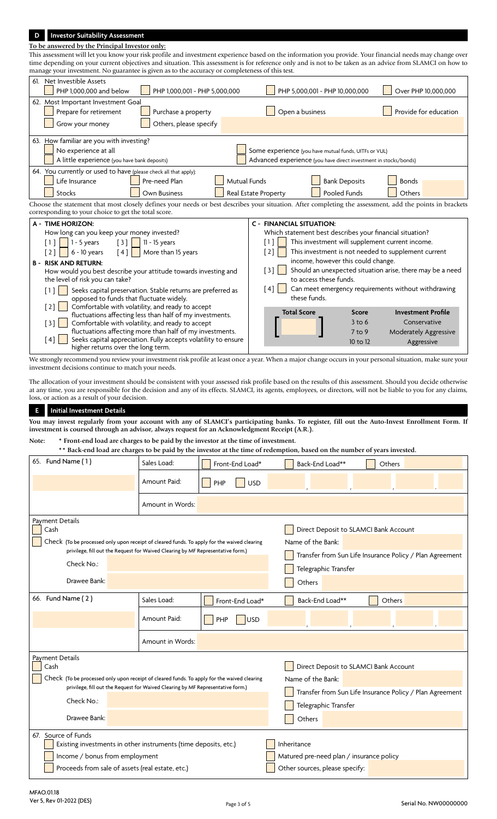# **D Investor Suitability Assessment**

## **To be answered by the Principal Investor only:**

This assessment will let you know your risk profile and investment experience based on the information you provide. Your financial needs may change over time depending on your current objectives and situation. This assessment is for reference only and is not to be taken as an advice from SLAMCI on how to manage your investment. No guarantee is given as to the accuracy or completeness of this test.

| 61. Net Investible Assets                                                                                                                               |                                                                          |                                                           |  |  |  |  |
|---------------------------------------------------------------------------------------------------------------------------------------------------------|--------------------------------------------------------------------------|-----------------------------------------------------------|--|--|--|--|
| PHP 1.000.001 - PHP 5.000.000<br>PHP 1.000.000 and below                                                                                                | PHP 5,000,001 - PHP 10,000,000                                           | Over PHP 10.000.000                                       |  |  |  |  |
| 62. Most Important Investment Goal                                                                                                                      |                                                                          |                                                           |  |  |  |  |
| Prepare for retirement<br>Purchase a property                                                                                                           | Open a business                                                          | Provide for education                                     |  |  |  |  |
| Others, please specify<br>Grow your money                                                                                                               |                                                                          |                                                           |  |  |  |  |
| 63. How familiar are you with investing?                                                                                                                |                                                                          |                                                           |  |  |  |  |
| No experience at all                                                                                                                                    | Some experience (you have mutual funds, UITFs or VUL)                    |                                                           |  |  |  |  |
| A little experience (you have bank deposits)                                                                                                            | Advanced experience (you have direct investment in stocks/bonds)         |                                                           |  |  |  |  |
| 64. You currently or used to have (please check all that apply):                                                                                        |                                                                          |                                                           |  |  |  |  |
| <b>Mutual Funds</b><br>Life Insurance<br>Pre-need Plan                                                                                                  | <b>Bank Deposits</b>                                                     | <b>Bonds</b>                                              |  |  |  |  |
| Stocks<br>Own Business                                                                                                                                  | Real Estate Property<br>Pooled Funds                                     | Others                                                    |  |  |  |  |
| Choose the statement that most closely defines your needs or best describes your situation. After completing the assessment, add the points in brackets |                                                                          |                                                           |  |  |  |  |
| corresponding to your choice to get the total score.                                                                                                    |                                                                          |                                                           |  |  |  |  |
| <b>A - TIME HORIZON:</b>                                                                                                                                | <b>C - FINANCIAL SITUATION:</b>                                          |                                                           |  |  |  |  |
| How long can you keep your money invested?                                                                                                              | Which statement best describes your financial situation?                 |                                                           |  |  |  |  |
| $1 - 5$ years<br>$\lceil 3 \rceil$<br>$11 - 15$ years<br>[1]                                                                                            | This investment will supplement current income.<br>[1]                   |                                                           |  |  |  |  |
| $\lceil 4 \rceil$<br>More than 15 years<br>$6 - 10$ years<br>[2]                                                                                        | This investment is not needed to supplement current<br>$\lceil 2 \rceil$ |                                                           |  |  |  |  |
| <b>RISK AND RETURN:</b><br><b>B</b> -                                                                                                                   | income, however this could change.                                       |                                                           |  |  |  |  |
| How would you best describe your attitude towards investing and                                                                                         | [3]                                                                      | Should an unexpected situation arise, there may be a need |  |  |  |  |
| the level of risk you can take?                                                                                                                         | to access these funds.                                                   |                                                           |  |  |  |  |
| Seeks capital preservation. Stable returns are preferred as<br>[1]                                                                                      | Can meet emergency requirements without withdrawing<br>$\lceil 4 \rceil$ |                                                           |  |  |  |  |
| opposed to funds that fluctuate widely.                                                                                                                 | these funds.                                                             |                                                           |  |  |  |  |
| $[2]$<br>Comfortable with volatility, and ready to accept<br>fluctuations affecting less than half of my investments.                                   | <b>Total Score</b><br>Score                                              | <b>Investment Profile</b>                                 |  |  |  |  |
| Comfortable with volatility, and ready to accept<br>$[3]$                                                                                               | $3$ to 6                                                                 | Conservative                                              |  |  |  |  |
|                                                                                                                                                         |                                                                          |                                                           |  |  |  |  |
| fluctuations affecting more than half of my investments.                                                                                                | $7$ to 9                                                                 | <b>Moderately Aggressive</b>                              |  |  |  |  |
| [4]<br>Seeks capital appreciation. Fully accepts volatility to ensure<br>higher returns over the long term.                                             | 10 to 12                                                                 | Aggressive                                                |  |  |  |  |

We strongly recommend you review your investment risk profile at least once a year. When a major change occurs in your personal situation, make sure your investment decisions continue to match your needs.

The allocation of your investment should be consistent with your assessed risk profile based on the results of this assessment. Should you decide otherwise at any time, you are responsible for the decision and any of its effects. SLAMCI, its agents, employees, or directors, will not be liable to you for any claims, loss, or action as a result of your decision.

# **E Initial Investment Details**

**You may invest regularly from your account with any of SLAMCI's participating banks. To register, fill out the Auto-Invest Enrollment Form. If investment is coursed through an advisor, always request for an Acknowledgment Receipt (A.R.).**

#### **Note: \* Front-end load are charges to be paid by the investor at the time of investment. \*\* Back-end load are charges to be paid by the investor at the time of redemption, based on the number of years invested.**

|                                                                                                                        |                                                                                 |                                | раск-ени юаи аге спагеев по ре рангру тне ничемог ат ние иние от гейенирноп, равеи он тне нишрег ог уеатв ничемей. |  |  |  |  |
|------------------------------------------------------------------------------------------------------------------------|---------------------------------------------------------------------------------|--------------------------------|--------------------------------------------------------------------------------------------------------------------|--|--|--|--|
| 65. Fund Name (1)                                                                                                      | Sales Load:                                                                     | Front-End Load*                | Others<br>Back-End Load**                                                                                          |  |  |  |  |
|                                                                                                                        | Amount Paid:                                                                    | <b>USD</b><br>PHP              |                                                                                                                    |  |  |  |  |
|                                                                                                                        | Amount in Words:                                                                |                                |                                                                                                                    |  |  |  |  |
| Payment Details<br>Cash<br>Check (To be processed only upon receipt of cleared funds. To apply for the waived clearing |                                                                                 |                                | Direct Deposit to SLAMCI Bank Account<br>Name of the Bank:                                                         |  |  |  |  |
|                                                                                                                        | privilege, fill out the Request for Waived Clearing by MF Representative form.) |                                |                                                                                                                    |  |  |  |  |
| Check No.:                                                                                                             |                                                                                 |                                | Transfer from Sun Life Insurance Policy / Plan Agreement                                                           |  |  |  |  |
|                                                                                                                        |                                                                                 |                                | Telegraphic Transfer                                                                                               |  |  |  |  |
| Drawee Bank:                                                                                                           |                                                                                 |                                | Others                                                                                                             |  |  |  |  |
| 66. Fund Name (2)                                                                                                      | Sales Load:                                                                     | Front-End Load*                | Back-End Load**<br>Others                                                                                          |  |  |  |  |
|                                                                                                                        | Amount Paid:                                                                    | PHP<br><b>USD</b>              |                                                                                                                    |  |  |  |  |
|                                                                                                                        | Amount in Words:                                                                |                                |                                                                                                                    |  |  |  |  |
| Payment Details<br>Cash                                                                                                |                                                                                 |                                | Direct Deposit to SLAMCI Bank Account                                                                              |  |  |  |  |
|                                                                                                                        |                                                                                 |                                |                                                                                                                    |  |  |  |  |
| Check (To be processed only upon receipt of cleared funds. To apply for the waived clearing                            | privilege, fill out the Request for Waived Clearing by MF Representative form.) |                                | Name of the Bank:                                                                                                  |  |  |  |  |
|                                                                                                                        |                                                                                 |                                | Transfer from Sun Life Insurance Policy / Plan Agreement                                                           |  |  |  |  |
| Check No.:                                                                                                             |                                                                                 |                                | Telegraphic Transfer                                                                                               |  |  |  |  |
| Drawee Bank:                                                                                                           |                                                                                 |                                | Others                                                                                                             |  |  |  |  |
| 67. Source of Funds                                                                                                    |                                                                                 |                                |                                                                                                                    |  |  |  |  |
| Existing investments in other instruments (time deposits, etc.)                                                        |                                                                                 |                                | Inheritance                                                                                                        |  |  |  |  |
| Income / bonus from employment                                                                                         |                                                                                 |                                | Matured pre-need plan / insurance policy                                                                           |  |  |  |  |
| Proceeds from sale of assets (real estate, etc.)                                                                       |                                                                                 | Other sources, please specify: |                                                                                                                    |  |  |  |  |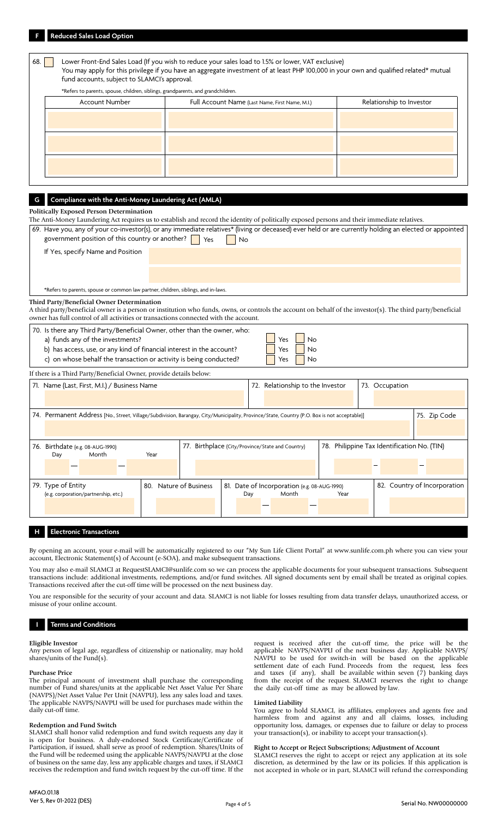|     | <b>Reduced Sales Load Option</b>                                                                                                                                                                                                                                                                                                                                                 |                        |                                                  |                                                     |                                  |    |      |                                             |                              |  |
|-----|----------------------------------------------------------------------------------------------------------------------------------------------------------------------------------------------------------------------------------------------------------------------------------------------------------------------------------------------------------------------------------|------------------------|--------------------------------------------------|-----------------------------------------------------|----------------------------------|----|------|---------------------------------------------|------------------------------|--|
| 68. | Lower Front-End Sales Load (If you wish to reduce your sales load to 1.5% or lower, VAT exclusive)<br>You may apply for this privilege if you have an aggregate investment of at least PHP 100,000 in your own and qualified related* mutual<br>fund accounts, subject to SLAMCI's approval.<br>*Refers to parents, spouse, children, siblings, grandparents, and grandchildren. |                        |                                                  |                                                     |                                  |    |      |                                             |                              |  |
|     | Account Number                                                                                                                                                                                                                                                                                                                                                                   |                        |                                                  |                                                     |                                  |    |      |                                             |                              |  |
|     |                                                                                                                                                                                                                                                                                                                                                                                  |                        |                                                  | Full Account Name (Last Name, First Name, M.I.)     |                                  |    |      | Relationship to Investor                    |                              |  |
|     |                                                                                                                                                                                                                                                                                                                                                                                  |                        |                                                  |                                                     |                                  |    |      |                                             |                              |  |
|     |                                                                                                                                                                                                                                                                                                                                                                                  |                        |                                                  |                                                     |                                  |    |      |                                             |                              |  |
|     |                                                                                                                                                                                                                                                                                                                                                                                  |                        |                                                  |                                                     |                                  |    |      |                                             |                              |  |
|     |                                                                                                                                                                                                                                                                                                                                                                                  |                        |                                                  |                                                     |                                  |    |      |                                             |                              |  |
|     |                                                                                                                                                                                                                                                                                                                                                                                  |                        |                                                  |                                                     |                                  |    |      |                                             |                              |  |
|     |                                                                                                                                                                                                                                                                                                                                                                                  |                        |                                                  |                                                     |                                  |    |      |                                             |                              |  |
|     |                                                                                                                                                                                                                                                                                                                                                                                  |                        |                                                  |                                                     |                                  |    |      |                                             |                              |  |
| G   | Compliance with the Anti-Money Laundering Act (AMLA)                                                                                                                                                                                                                                                                                                                             |                        |                                                  |                                                     |                                  |    |      |                                             |                              |  |
|     | <b>Politically Exposed Person Determination</b>                                                                                                                                                                                                                                                                                                                                  |                        |                                                  |                                                     |                                  |    |      |                                             |                              |  |
|     | The Anti-Money Laundering Act requires us to establish and record the identity of politically exposed persons and their immediate relatives.                                                                                                                                                                                                                                     |                        |                                                  |                                                     |                                  |    |      |                                             |                              |  |
|     | 69. Have you, any of your co-investor(s), or any immediate relatives* (living or deceased) ever held or are currently holding an elected or appointed<br>government position of this country or another?                                                                                                                                                                         |                        | Yes                                              | No                                                  |                                  |    |      |                                             |                              |  |
|     |                                                                                                                                                                                                                                                                                                                                                                                  |                        |                                                  |                                                     |                                  |    |      |                                             |                              |  |
|     | If Yes, specify Name and Position                                                                                                                                                                                                                                                                                                                                                |                        |                                                  |                                                     |                                  |    |      |                                             |                              |  |
|     |                                                                                                                                                                                                                                                                                                                                                                                  |                        |                                                  |                                                     |                                  |    |      |                                             |                              |  |
|     |                                                                                                                                                                                                                                                                                                                                                                                  |                        |                                                  |                                                     |                                  |    |      |                                             |                              |  |
|     | *Refers to parents, spouse or common law partner, children, siblings, and in-laws.                                                                                                                                                                                                                                                                                               |                        |                                                  |                                                     |                                  |    |      |                                             |                              |  |
|     | Third Party/Beneficial Owner Determination                                                                                                                                                                                                                                                                                                                                       |                        |                                                  |                                                     |                                  |    |      |                                             |                              |  |
|     | A third party/beneficial owner is a person or institution who funds, owns, or controls the account on behalf of the investor(s). The third party/beneficial<br>owner has full control of all activities or transactions connected with the account.                                                                                                                              |                        |                                                  |                                                     |                                  |    |      |                                             |                              |  |
|     | 70. Is there any Third Party/Beneficial Owner, other than the owner, who:                                                                                                                                                                                                                                                                                                        |                        |                                                  |                                                     |                                  |    |      |                                             |                              |  |
|     | a) funds any of the investments?                                                                                                                                                                                                                                                                                                                                                 |                        |                                                  |                                                     | Yes                              | No |      |                                             |                              |  |
|     | b) has access, use, or any kind of financial interest in the account?                                                                                                                                                                                                                                                                                                            |                        |                                                  |                                                     | Yes                              | No |      |                                             |                              |  |
|     | c) on whose behalf the transaction or activity is being conducted?                                                                                                                                                                                                                                                                                                               |                        |                                                  |                                                     | Yes                              | No |      |                                             |                              |  |
|     | If there is a Third Party/Beneficial Owner, provide details below:                                                                                                                                                                                                                                                                                                               |                        |                                                  |                                                     |                                  |    |      |                                             |                              |  |
|     | 71. Name (Last, First, M.I.) / Business Name                                                                                                                                                                                                                                                                                                                                     |                        |                                                  |                                                     | 72. Relationship to the Investor |    |      | 73. Occupation                              |                              |  |
|     |                                                                                                                                                                                                                                                                                                                                                                                  |                        |                                                  |                                                     |                                  |    |      |                                             |                              |  |
|     |                                                                                                                                                                                                                                                                                                                                                                                  |                        |                                                  |                                                     |                                  |    |      |                                             |                              |  |
|     | 74. Permanent Address [No., Street, Village/Subdivision, Barangay, City/Municipality, Province/State, Country (P.O. Box is not acceptable)]                                                                                                                                                                                                                                      |                        |                                                  |                                                     |                                  |    |      |                                             | 75. Zip Code                 |  |
|     |                                                                                                                                                                                                                                                                                                                                                                                  |                        |                                                  |                                                     |                                  |    |      |                                             |                              |  |
|     | 76. Birthdate (e.g. 08-AUG-1990)                                                                                                                                                                                                                                                                                                                                                 |                        | 77. Birthplace (City/Province/State and Country) |                                                     |                                  |    |      | 78. Philippine Tax Identification No. (TIN) |                              |  |
|     | Day<br>Month                                                                                                                                                                                                                                                                                                                                                                     | Year                   |                                                  |                                                     |                                  |    |      |                                             |                              |  |
|     |                                                                                                                                                                                                                                                                                                                                                                                  |                        |                                                  |                                                     |                                  |    |      |                                             |                              |  |
|     |                                                                                                                                                                                                                                                                                                                                                                                  |                        |                                                  |                                                     |                                  |    |      |                                             |                              |  |
|     | 79. Type of Entity<br>(e.g. corporation/partnership, etc.)                                                                                                                                                                                                                                                                                                                       | 80. Nature of Business |                                                  | 81. Date of Incorporation (e.g. 08-AUG-1990)<br>Day | Month                            |    | Year |                                             | 82. Country of Incorporation |  |
|     |                                                                                                                                                                                                                                                                                                                                                                                  |                        |                                                  |                                                     |                                  |    |      |                                             |                              |  |
|     |                                                                                                                                                                                                                                                                                                                                                                                  |                        |                                                  |                                                     |                                  |    |      |                                             |                              |  |
|     |                                                                                                                                                                                                                                                                                                                                                                                  |                        |                                                  |                                                     |                                  |    |      |                                             |                              |  |
|     | <b>Electronic Transactions</b>                                                                                                                                                                                                                                                                                                                                                   |                        |                                                  |                                                     |                                  |    |      |                                             |                              |  |

By opening an account, your e-mail will be automatically registered to our "My Sun Life Client Portal" at www.sunlife.com.ph where you can view your account, Electronic Statement(s) of Account (e-SOA), and make subsequent transactions.

You may also e-mail SLAMCI at RequestSLAMCI@sunlife.com so we can process the applicable documents for your subsequent transactions. Subsequent transactions include: additional investments, redemptions, and/or fund switches. All signed documents sent by email shall be treated as original copies. Transactions received after the cut-off time will be processed on the next business day.

You are responsible for the security of your account and data. SLAMCI is not liable for losses resulting from data transfer delays, unauthorized access, or misuse of your online account.

# **I Terms and Conditions**

## **Eligible Investor**

Any person of legal age, regardless of citizenship or nationality, may hold shares/units of the Fund(s).

## **Purchase Price**

The principal amount of investment shall purchase the corresponding number of Fund shares/units at the applicable Net Asset Value Per Share (NAVPS)/Net Asset Value Per Unit (NAVPU), less any sales load and taxes. The applicable NAVPS/NAVPU will be used for purchases made within the daily cut-off time.

## **Redemption and Fund Switch**

SLAMCI shall honor valid redemption and fund switch requests any day it is open for business. A duly-endorsed Stock Certificate/Certificate of Participation, if issued, shall serve as proof of redemption. Shares/Units of the Fund will be redeemed using the applicable NAVPS/NAVPU at the close of business on the same day, less any applicable charges and taxes, if SLAMCI receives the redemption and fund switch request by the cut-off time. If the

request is received after the cut-off time, the price will be the applicable NAVPS/NAVPU of the next business day. Applicable NAVPS/ NAVPU to be used for switch-in will be based on the applicable settlement date of each Fund. Proceeds from the request, less fees and taxes (if any), shall be available within seven (7) banking days from the receipt of the request. SLAMCI reserves the right to change the daily cut-off time as may be allowed by law.

#### **Limited Liability**

You agree to hold SLAMCI, its affiliates, employees and agents free and harmless from and against any and all claims, losses, including opportunity loss, damages, or expenses due to failure or delay to process your transaction(s), or inability to accept your transaction(s).

# **Right to Accept or Reject Subscriptions; Adjustment of Account**

SLAMCI reserves the right to accept or reject any application at its sole discretion, as determined by the law or its policies. If this application is not accepted in whole or in part, SLAMCI will refund the corresponding